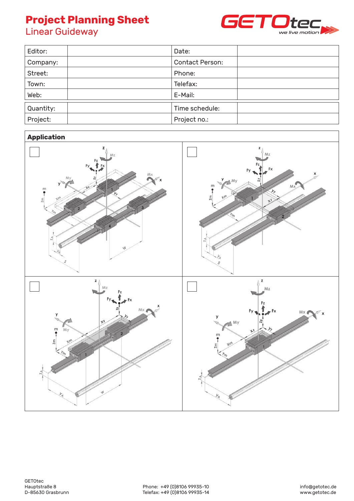#### **Project Planning Sheet** Linear Guideway **Project Please is a Chara Project Planning Sileet**<br>Führenführung **Project Blannings Project Planning J**<br>Linear Guideway **Project Planning Sheet Project Planning S**



| Editor:   | Date:           |
|-----------|-----------------|
| Company:  | Contact Person: |
| Street:   | Phone:          |
| Town:     | Telefax:        |
| Web:      | E-Mail:         |
| Quantity: | Time schedule:  |
| Project:  | Project no.:    |

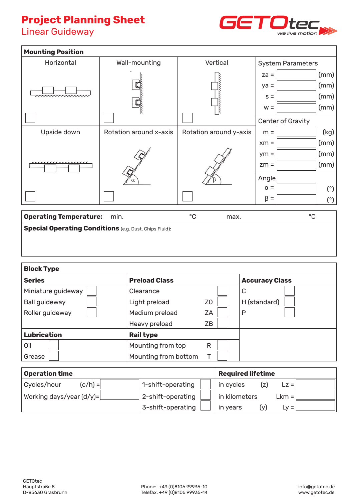## **Project Planning Sheet**

Linear Guideway



| <b>Mounting Position</b>      |                        |                        |                                  |  |  |
|-------------------------------|------------------------|------------------------|----------------------------------|--|--|
| Horizontal                    | Wall-mounting          | Vertical               | <b>System Parameters</b>         |  |  |
|                               |                        |                        | (mm)<br>$za =$<br>(mm)<br>$ya =$ |  |  |
|                               |                        |                        | (mm)<br>$S =$                    |  |  |
|                               |                        |                        | (mm)<br>$w =$                    |  |  |
|                               |                        |                        | Center of Gravity                |  |  |
| Upside down                   | Rotation around x-axis | Rotation around y-axis | (kg)<br>$m =$                    |  |  |
|                               |                        |                        | (mm)<br>$xm =$                   |  |  |
|                               |                        |                        | (mm)<br>$ym =$                   |  |  |
|                               |                        |                        | (mm)<br>$Zm =$                   |  |  |
|                               | α                      |                        | Angle                            |  |  |
|                               |                        |                        | $\alpha =$<br>(°)                |  |  |
|                               |                        |                        | $\beta =$<br>$(^\circ)$          |  |  |
| <b>Operating Temperature:</b> | min.                   | $^{\circ}$ C<br>max.   | $^{\circ}$ C                     |  |  |

| <b>Block Type</b>    |                      |                       |              |  |  |
|----------------------|----------------------|-----------------------|--------------|--|--|
| <b>Series</b>        | <b>Preload Class</b> | <b>Accuracy Class</b> |              |  |  |
| Miniature guideway   | Clearance            |                       | С            |  |  |
| <b>Ball guideway</b> | Light preload        | Z <sub>0</sub>        | H (standard) |  |  |
| Roller guideway      | Medium preload       | ZA                    | P            |  |  |
|                      | Heavy preload        | ZB                    |              |  |  |
| <b>Lubrication</b>   | <b>Rail type</b>     |                       |              |  |  |
| Oil                  | Mounting from top    | R                     |              |  |  |
| Grease               | Mounting from bottom |                       |              |  |  |

| <b>Operation time</b>      | <b>Required lifetime</b> |                            |  |  |
|----------------------------|--------------------------|----------------------------|--|--|
| $(c/h) =$<br>Cycles/hour   | 1-shift-operating        | in cycles<br>(z)<br>$Lz =$ |  |  |
| Working days/year $(d/y)=$ | 2-shift-operating        | in kilometers<br>$Lkm =$   |  |  |
|                            | 3-shift-operating        | in years<br>(V)<br>$Lv =$  |  |  |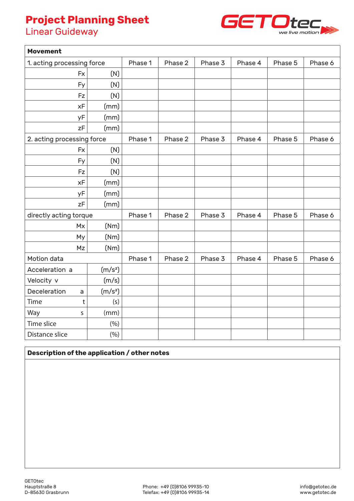# **Project Planning Sheet**

Linear Guideway



| <b>Movement</b>            |                     |         |         |         |         |         |         |
|----------------------------|---------------------|---------|---------|---------|---------|---------|---------|
| 1. acting processing force |                     | Phase 1 | Phase 2 | Phase 3 | Phase 4 | Phase 5 | Phase 6 |
| Fx                         | (N)                 |         |         |         |         |         |         |
| Fy                         | (N)                 |         |         |         |         |         |         |
| <b>Fz</b>                  | (N)                 |         |         |         |         |         |         |
| xF                         | (mm)                |         |         |         |         |         |         |
| yF                         | (mm)                |         |         |         |         |         |         |
| zF                         | (mm)                |         |         |         |         |         |         |
| 2. acting processing force |                     | Phase 1 | Phase 2 | Phase 3 | Phase 4 | Phase 5 | Phase 6 |
| <b>Fx</b>                  | (N)                 |         |         |         |         |         |         |
| Fy                         | (N)                 |         |         |         |         |         |         |
| Fz                         | (N)                 |         |         |         |         |         |         |
| xF                         | (mm)                |         |         |         |         |         |         |
| уF                         | (mm)                |         |         |         |         |         |         |
| zF                         | (mm)                |         |         |         |         |         |         |
| directly acting torque     |                     | Phase 1 | Phase 2 | Phase 3 | Phase 4 | Phase 5 | Phase 6 |
| <b>Mx</b>                  | (Nm)                |         |         |         |         |         |         |
| My                         | (Nm)                |         |         |         |         |         |         |
| Mz                         | (Nm)                |         |         |         |         |         |         |
| Motion data                |                     | Phase 1 | Phase 2 | Phase 3 | Phase 4 | Phase 5 | Phase 6 |
| Acceleration a             | (m/s <sup>2</sup> ) |         |         |         |         |         |         |
| Velocity v                 | (m/s)               |         |         |         |         |         |         |
| Deceleration<br>a          | (m/s <sup>2</sup> ) |         |         |         |         |         |         |
| Time<br>t                  | (s)                 |         |         |         |         |         |         |
| Way<br>S                   | (mm)                |         |         |         |         |         |         |
| Time slice                 | (% )                |         |         |         |         |         |         |
| Distance slice             | (% )                |         |         |         |         |         |         |

### **Description of the application / other notes**